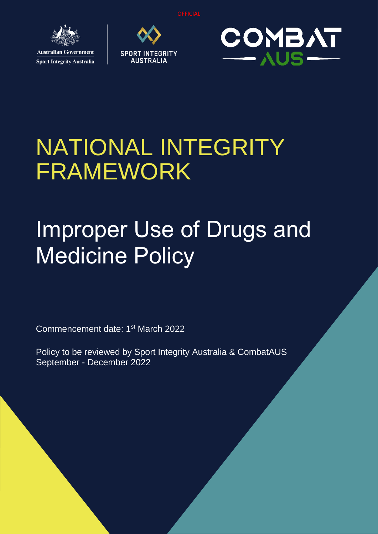

**Sport Integrity Australia** 





## NATIONAL INTEGRITY FRAMEWORK

# Improper Use of Drugs and Medicine Policy

Commencement date: 1<sup>st</sup> March 2022

Policy to be reviewed by Sport Integrity Australia & CombatAUS September - December 2022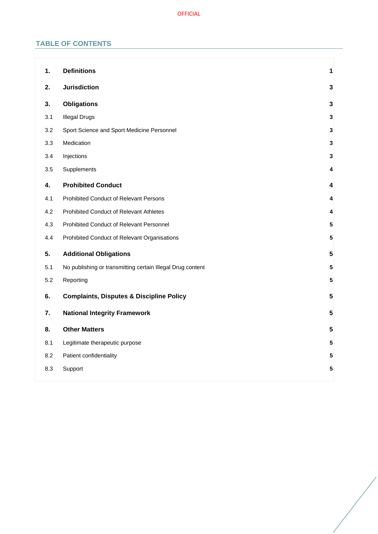## **TABLE OF CONTENTS**

| 1.  | <b>Definitions</b>                                         | 1                       |
|-----|------------------------------------------------------------|-------------------------|
| 2.  | <b>Jurisdiction</b>                                        | $\mathbf{3}$            |
| 3.  | <b>Obligations</b>                                         | $\mathbf{3}$            |
| 3.1 | <b>Illegal Drugs</b>                                       | $\mathbf 3$             |
| 3.2 | Sport Science and Sport Medicine Personnel                 | $\mathbf{3}$            |
| 3.3 | Medication                                                 | $\mathbf{3}$            |
| 3.4 | Injections                                                 | 3                       |
| 3.5 | Supplements                                                | 4                       |
| 4.  | <b>Prohibited Conduct</b>                                  | 4                       |
| 4.1 | Prohibited Conduct of Relevant Persons                     | 4                       |
| 4.2 | Prohibited Conduct of Relevant Athletes                    | 4                       |
| 4.3 | Prohibited Conduct of Relevant Personnel                   | 5                       |
| 4.4 | Prohibited Conduct of Relevant Organisations               | 5                       |
| 5.  | <b>Additional Obligations</b>                              | 5                       |
| 5.1 | No publishing or transmitting certain Illegal Drug content | 5                       |
| 5.2 | Reporting                                                  | 5                       |
| 6.  | <b>Complaints, Disputes &amp; Discipline Policy</b>        | $\overline{\mathbf{5}}$ |
| 7.  | <b>National Integrity Framework</b>                        | 5                       |
| 8.  | <b>Other Matters</b>                                       | 5                       |
| 8.1 | Legitimate therapeutic purpose                             | 5                       |
| 8.2 | Patient confidentiality                                    | 5                       |
| 8.3 | Support                                                    | 5                       |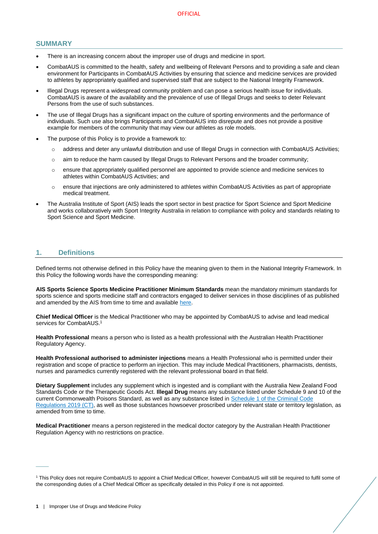## **SUMMARY**

- There is an increasing concern about the improper use of drugs and medicine in sport.
- CombatAUS is committed to the health, safety and wellbeing of Relevant Persons and to providing a safe and clean environment for Participants in CombatAUS Activities by ensuring that science and medicine services are provided to athletes by appropriately qualified and supervised staff that are subject to the National Integrity Framework.
- Illegal Drugs represent a widespread community problem and can pose a serious health issue for individuals. CombatAUS is aware of the availability and the prevalence of use of Illegal Drugs and seeks to deter Relevant Persons from the use of such substances.
- The use of Illegal Drugs has a significant impact on the culture of sporting environments and the performance of individuals. Such use also brings Participants and CombatAUS into disrepute and does not provide a positive example for members of the community that may view our athletes as role models.
- The purpose of this Policy is to provide a framework to:
	- o address and deter any unlawful distribution and use of Illegal Drugs in connection with CombatAUS Activities;
	- o aim to reduce the harm caused by Illegal Drugs to Relevant Persons and the broader community;
	- o ensure that appropriately qualified personnel are appointed to provide science and medicine services to athletes within CombatAUS Activities; and
	- o ensure that injections are only administered to athletes within CombatAUS Activities as part of appropriate medical treatment.
- The Australia Institute of Sport (AIS) leads the sport sector in best practice for Sport Science and Sport Medicine and works collaboratively with Sport Integrity Australia in relation to compliance with policy and standards relating to Sport Science and Sport Medicine.

## <span id="page-2-0"></span>**1. Definitions**

Defined terms not otherwise defined in this Policy have the meaning given to them in the National Integrity Framework. In this Policy the following words have the corresponding meaning:

**AIS Sports Science Sports Medicine Practitioner Minimum Standards** mean the mandatory minimum standards for sports science and sports medicine staff and contractors engaged to deliver services in those disciplines of as published and amended by the AIS from time to time and available [here.](https://www.ais.gov.au/position_statements#ais_sports_science_sports_medicine_practitioner_minimum_standards)

**Chief Medical Officer** is the Medical Practitioner who may be appointed by CombatAUS to advise and lead medical services for CombatAUS.<sup>1</sup>

**Health Professional** means a person who is listed as a health professional with the Australian Health Practitioner Regulatory Agency.

**Health Professional authorised to administer injections** means a Health Professional who is permitted under their registration and scope of practice to perform an injection. This may include Medical Practitioners, pharmacists, dentists, nurses and paramedics currently registered with the relevant professional board in that field.

**Dietary Supplement** includes any supplement which is ingested and is compliant with the Australia New Zealand Food Standards Code or the Therapeutic Goods Act. **Illegal Drug** means any substance listed under Schedule 9 and 10 of the current Commonwealth Poisons Standard, as well as any substance listed in [Schedule 1 of the Criminal Code](https://www.legislation.gov.au/Details/F2020C00785)  [Regulations 2019 \(CT\),](https://www.legislation.gov.au/Details/F2020C00785) as well as those substances howsoever proscribed under relevant state or territory legislation, as amended from time to time.

**Medical Practitioner** means a person registered in the medical doctor category by the Australian Health Practitioner Regulation Agency with no restrictions on practice.

 $\overline{\phantom{a}}$ 

<sup>1</sup> This Policy does not require CombatAUS to appoint a Chief Medical Officer, however CombatAUS will still be required to fulfil some of the corresponding duties of a Chief Medical Officer as specifically detailed in this Policy if one is not appointed.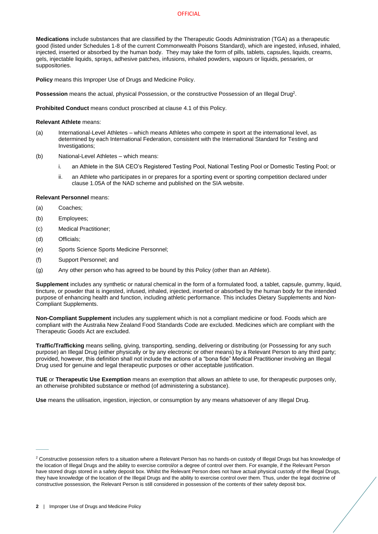#### **OFFICIAL**

**Medications** include substances that are classified by the Therapeutic Goods Administration (TGA) as a therapeutic good (listed under Schedules 1-8 of the current Commonwealth Poisons Standard), which are ingested, infused, inhaled, injected, inserted or absorbed by the human body. They may take the form of pills, tablets, capsules, liquids, creams, gels, injectable liquids, sprays, adhesive patches, infusions, inhaled powders, vapours or liquids, pessaries, or suppositories.

**Policy** means this Improper Use of Drugs and Medicine Policy.

Possession means the actual, physical Possession, or the constructive Possession of an Illegal Drug<sup>2</sup>.

**Prohibited Conduct** means conduct proscribed at clause [4.1](#page-5-2) of this Policy.

#### **Relevant Athlete** means:

- (a) International-Level Athletes which means Athletes who compete in sport at the international level, as determined by each International Federation, consistent with the International Standard for Testing and Investigations;
- (b) National-Level Athletes which means:
	- i. an Athlete in the SIA CEO's Registered Testing Pool, National Testing Pool or Domestic Testing Pool; or
	- ii. an Athlete who participates in or prepares for a sporting event or sporting competition declared under clause 1.05A of the NAD scheme and published on the SIA website.

## **Relevant Personnel** means:

- (a) Coaches;
- (b) Employees;
- (c) Medical Practitioner;
- (d) Officials;

 $\overline{\phantom{a}}$ 

- (e) Sports Science Sports Medicine Personnel;
- (f) Support Personnel; and
- (g) Any other person who has agreed to be bound by this Policy (other than an Athlete).

**Supplement** includes any synthetic or natural chemical in the form of a formulated food, a tablet, capsule, gummy, liquid, tincture, or powder that is ingested, infused, inhaled, injected, inserted or absorbed by the human body for the intended purpose of enhancing health and function, including athletic performance. This includes Dietary Supplements and Non-Compliant Supplements.

**Non-Compliant Supplement** includes any supplement which is not a compliant medicine or food. Foods which are compliant with the Australia New Zealand Food Standards Code are excluded. Medicines which are compliant with the Therapeutic Goods Act are excluded.

**Traffic/Trafficking** means selling, giving, transporting, sending, delivering or distributing (or Possessing for any such purpose) an Illegal Drug (either physically or by any electronic or other means) by a Relevant Person to any third party; provided, however, this definition shall not include the actions of a "bona fide" Medical Practitioner involving an Illegal Drug used for genuine and legal therapeutic purposes or other acceptable justification.

**TUE** or **Therapeutic Use Exemption** means an exemption that allows an athlete to use, for therapeutic purposes only, an otherwise prohibited substance or method (of administering a substance).

**Use** means the utilisation, ingestion, injection, or consumption by any means whatsoever of any Illegal Drug.

<sup>&</sup>lt;sup>2</sup> Constructive possession refers to a situation where a Relevant Person has no hands-on custody of Illegal Drugs but has knowledge of the location of Illegal Drugs and the ability to exercise control/or a degree of control over them. For example, if the Relevant Person have stored drugs stored in a safety deposit box. Whilst the Relevant Person does not have actual physical custody of the Illegal Drugs, they have knowledge of the location of the Illegal Drugs and the ability to exercise control over them. Thus, under the legal doctrine of constructive possession, the Relevant Person is still considered in possession of the contents of their safety deposit box.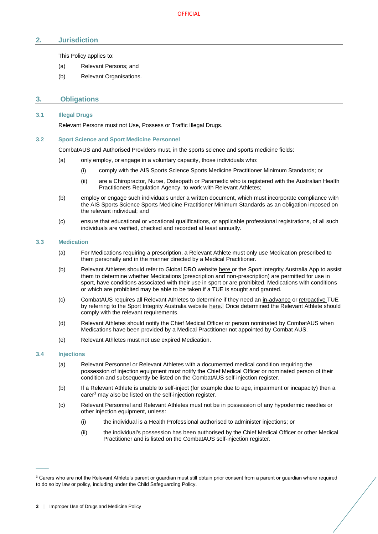## <span id="page-4-0"></span>**2. Jurisdiction**

This Policy applies to:

- (a) Relevant Persons; and
- <span id="page-4-1"></span>(b) Relevant Organisations.

## **3. Obligations**

#### <span id="page-4-2"></span>**3.1 Illegal Drugs**

Relevant Persons must not Use, Possess or Traffic Illegal Drugs.

#### <span id="page-4-3"></span>**3.2 Sport Science and Sport Medicine Personnel**

CombatAUS and Authorised Providers must, in the sports science and sports medicine fields:

- (a) only employ, or engage in a voluntary capacity, those individuals who:
	- (i) comply with the AIS Sports Science Sports Medicine Practitioner Minimum Standards; or
	- (ii) are a Chiropractor, Nurse, Osteopath or Paramedic who is registered with the Australian Health Practitioners Regulation Agency, to work with Relevant Athletes;
- (b) employ or engage such individuals under a written document, which must incorporate compliance with the AIS Sports Science Sports Medicine Practitioner Minimum Standards as an obligation imposed on the relevant individual; and
- (c) ensure that educational or vocational qualifications, or applicable professional registrations, of all such individuals are verified, checked and recorded at least annually.

#### <span id="page-4-4"></span>**3.3 Medication**

- (a) For Medications requiring a prescription, a Relevant Athlete must only use Medication prescribed to them personally and in the manner directed by a Medical Practitioner.
- (b) Relevant Athletes should refer to Global DRO websit[e here](https://globaldro.com/AU/search) or the Sport Integrity Australia App to assist them to determine whether Medications (prescription and non-prescription) are permitted for use in sport, have conditions associated with their use in sport or are prohibited. Medications with conditions or which are prohibited may be able to be taken if a TUE is sought and granted.
- (c) CombatAUS requires all Relevant Athletes to determine if they need an [in-advance](https://www.sportintegrity.gov.au/resources/therapeutic-use-exemption/advance-therapeutic-use-exemption) or [retroactive](https://www.sportintegrity.gov.au/resources/therapeutic-use-exemption/retroactive-therapeutic-use-exemption) TUE by referring to the Sport Integrity Australia websit[e here.](https://www.sportintegrity.gov.au/resources/therapeutic-use-exemption) Once determined the Relevant Athlete should comply with the relevant requirements.
- (d) Relevant Athletes should notify the Chief Medical Officer or person nominated by CombatAUS when Medications have been provided by a Medical Practitioner not appointed by Combat AUS.
- (e) Relevant Athletes must not use expired Medication.

#### <span id="page-4-5"></span>**3.4 Injections**

 $\overline{\phantom{a}}$ 

- (a) Relevant Personnel or Relevant Athletes with a documented medical condition requiring the possession of injection equipment must notify the Chief Medical Officer or nominated person of their condition and subsequently be listed on the CombatAUS self-injection register.
- <span id="page-4-7"></span>(b) If a Relevant Athlete is unable to self-inject (for example due to age, impairment or incapacity) then a carer<sup>3</sup> may also be listed on the self-injection register.
- <span id="page-4-6"></span>(c) Relevant Personnel and Relevant Athletes must not be in possession of any hypodermic needles or other injection equipment, unless:
	- (i) the individual is a Health Professional authorised to administer injections; or
	- (ii) the individual's possession has been authorised by the Chief Medical Officer or other Medical Practitioner and is listed on the CombatAUS self-injection register.

<sup>&</sup>lt;sup>3</sup> Carers who are not the Relevant Athlete's parent or guardian must still obtain prior consent from a parent or guardian where required to do so by law or policy, including under the Child Safeguarding Policy.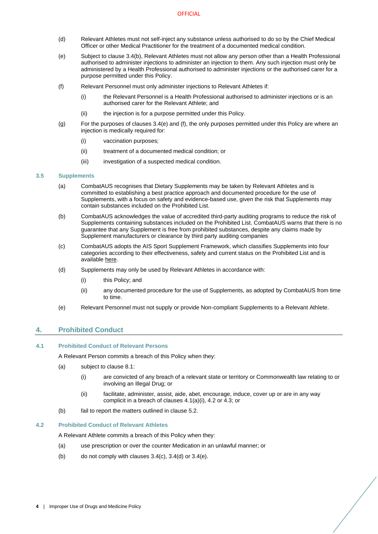- <span id="page-5-5"></span>(d) Relevant Athletes must not self-inject any substance unless authorised to do so by the Chief Medical Officer or other Medical Practitioner for the treatment of a documented medical condition.
- <span id="page-5-6"></span>(e) Subject to clause 3.4(b), Relevant Athletes must not allow any person other than a Health Professional authorised to administer injections to administer an injection to them. Any such injection must only be administered by a Health Professional authorised to administer injections or the authorised carer for a purpose permitted under this Policy.
- (f) Relevant Personnel must only administer injections to Relevant Athletes if:
	- (i) the Relevant Personnel is a Health Professional authorised to administer injections or is an authorised carer for the Relevant Athlete; and
	- (ii) the injection is for a purpose permitted under this Policy.
- (g) For the purposes of clauses 3.4(e) and (f), the only purposes permitted under this Policy are where an injection is medically required for:
	- (i) vaccination purposes;
	- (ii) treatment of a documented medical condition; or
	- (iii) investigation of a suspected medical condition.

#### <span id="page-5-0"></span>**3.5 Supplements**

- (a) CombatAUS recognises that Dietary Supplements may be taken by Relevant Athletes and is committed to establishing a best practice approach and documented procedure for the use of Supplements, with a focus on safety and evidence-based use, given the risk that Supplements may contain substances included on the Prohibited List.
- (b) CombatAUS acknowledges the value of accredited third-party auditing programs to reduce the risk of Supplements containing substances included on the Prohibited List. CombatAUS warns that there is no guarantee that any Supplement is free from prohibited substances, despite any claims made by Supplement manufacturers or clearance by third party auditing companies
- (c) CombatAUS adopts the AIS Sport Supplement Framework, which classifies Supplements into four categories according to their effectiveness, safety and current status on the Prohibited List and is availabl[e here.](https://www.ais.gov.au/__data/assets/pdf_file/0004/698557/AIS-Sports-Supplement-Framework-2019.pdf)
- (d) Supplements may only be used by Relevant Athletes in accordance with:
	- (i) this Policy; and
	- (ii) any documented procedure for the use of Supplements, as adopted by CombatAUS from time to time.
- (e) Relevant Personnel must not supply or provide Non-compliant Supplements to a Relevant Athlete.

## <span id="page-5-7"></span><span id="page-5-1"></span>**4. Prohibited Conduct**

## <span id="page-5-4"></span><span id="page-5-2"></span>**4.1 Prohibited Conduct of Relevant Persons**

A Relevant Person commits a breach of this Policy when they:

- (a) subject to clause [8.1:](#page-6-8)
	- (i) are convicted of any breach of a relevant state or territory or Commonwealth law relating to or involving an Illegal Drug; or
	- (ii) facilitate, administer, assist, aide, abet, encourage, induce, cover up or are in any way complicit in a breach of clauses [4.1\(a\)\(](#page-5-4)i), [4.2](#page-5-3) o[r 4.3;](#page-6-0) or
- (b) fail to report the matters outlined in clause [5.2.](#page-6-4)

## <span id="page-5-3"></span>**4.2 Prohibited Conduct of Relevant Athletes**

A Relevant Athlete commits a breach of this Policy when they:

- (a) use prescription or over the counter Medication in an unlawful manner; or
- (b) do not comply with clause[s 3.4\(c\),](#page-4-6) [3.4\(d\)](#page-5-5) or [3.4\(e\).](#page-5-6)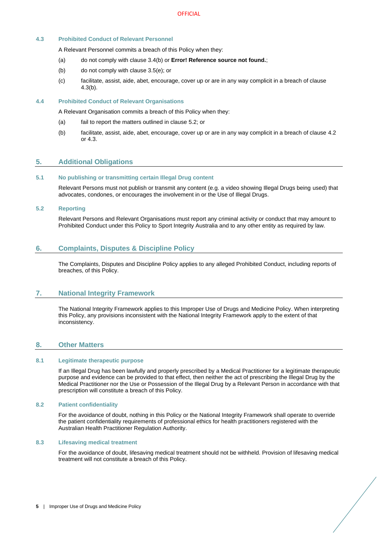## <span id="page-6-0"></span>**4.3 Prohibited Conduct of Relevant Personnel**

A Relevant Personnel commits a breach of this Policy when they:

- (a) do not comply with clause [3.4\(b\)](#page-4-7) or **Error! Reference source not found.**;
- <span id="page-6-11"></span>(b) do not comply with clause [3.5\(e\);](#page-5-7) or
- (c) facilitate, assist, aide, abet, encourage, cover up or are in any way complicit in a breach of clause [4.3\(b\).](#page-6-11)

## <span id="page-6-1"></span>**4.4 Prohibited Conduct of Relevant Organisations**

A Relevant Organisation commits a breach of this Policy when they:

- (a) fail to report the matters outlined in clause [5.2;](#page-6-4) or
- (b) facilitate, assist, aide, abet, encourage, cover up or are in any way complicit in a breach of clause [4.2](#page-5-3) or [4.3.](#page-6-0)

## <span id="page-6-2"></span>**5. Additional Obligations**

## <span id="page-6-3"></span>**5.1 No publishing or transmitting certain Illegal Drug content**

Relevant Persons must not publish or transmit any content (e.g. a video showing Illegal Drugs being used) that advocates, condones, or encourages the involvement in or the Use of Illegal Drugs.

#### <span id="page-6-4"></span>**5.2 Reporting**

Relevant Persons and Relevant Organisations must report any criminal activity or conduct that may amount to Prohibited Conduct under this Policy to Sport Integrity Australia and to any other entity as required by law.

## <span id="page-6-5"></span>**6. Complaints, Disputes & Discipline Policy**

The Complaints, Disputes and Discipline Policy applies to any alleged Prohibited Conduct, including reports of breaches, of this Policy.

## <span id="page-6-6"></span>**7. National Integrity Framework**

The National Integrity Framework applies to this Improper Use of Drugs and Medicine Policy. When interpreting this Policy, any provisions inconsistent with the National Integrity Framework apply to the extent of that inconsistency.

## <span id="page-6-7"></span>**8. Other Matters**

#### <span id="page-6-8"></span>**8.1 Legitimate therapeutic purpose**

If an Illegal Drug has been lawfully and properly prescribed by a Medical Practitioner for a legitimate therapeutic purpose and evidence can be provided to that effect, then neither the act of prescribing the Illegal Drug by the Medical Practitioner nor the Use or Possession of the Illegal Drug by a Relevant Person in accordance with that prescription will constitute a breach of this Policy.

#### <span id="page-6-9"></span>**8.2 Patient confidentiality**

For the avoidance of doubt, nothing in this Policy or the National Integrity Framework shall operate to override the patient confidentiality requirements of professional ethics for health practitioners registered with the Australian Health Practitioner Regulation Authority.

#### <span id="page-6-10"></span>**8.3 Lifesaving medical treatment**

For the avoidance of doubt, lifesaving medical treatment should not be withheld. Provision of lifesaving medical treatment will not constitute a breach of this Policy.